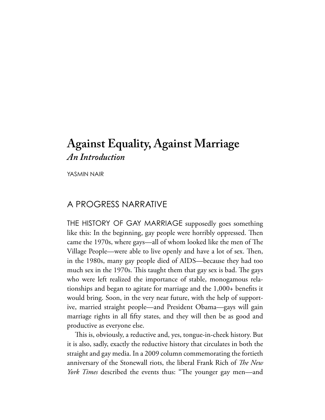# **Against Equality, Against Marriage**  *An Introduction*

YASMIN NAIR

## A PROGRESS NARRATIVE

THE HISTORY OF GAY MARRIAGE supposedly goes something like this: In the beginning, gay people were horribly oppressed. Then came the 1970s, where gays—all of whom looked like the men of The Village People—were able to live openly and have a lot of sex. Then, in the 1980s, many gay people died of AIDS—because they had too much sex in the 1970s. This taught them that gay sex is bad. The gays who were left realized the importance of stable, monogamous relationships and began to agitate for marriage and the  $1,000+$  benefits it would bring. Soon, in the very near future, with the help of supportive, married straight people—and President Obama—gays will gain marriage rights in all fifty states, and they will then be as good and productive as everyone else.

This is, obviously, a reductive and, yes, tongue-in-cheek history. But it is also, sadly, exactly the reductive history that circulates in both the straight and gay media. In a 2009 column commemorating the fortieth anniversary of the Stonewall riots, the liberal Frank Rich of *The New York Times* described the events thus: "The younger gay men—and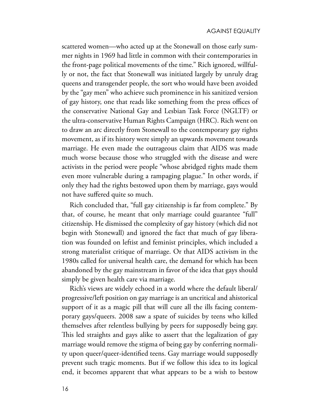scattered women—who acted up at the Stonewall on those early summer nights in 1969 had little in common with their contemporaries in the front-page political movements of the time." Rich ignored, willfully or not, the fact that Stonewall was initiated largely by unruly drag queens and transgender people, the sort who would have been avoided by the "gay men" who achieve such prominence in his sanitized version of gay history, one that reads like something from the press offices of the conservative National Gay and Lesbian Task Force (NGLTF) or the ultra-conservative Human Rights Campaign (HRC). Rich went on to draw an arc directly from Stonewall to the contemporary gay rights movement, as if its history were simply an upwards movement towards marriage. He even made the outrageous claim that AIDS was made much worse because those who struggled with the disease and were activists in the period were people "whose abridged rights made them even more vulnerable during a rampaging plague." In other words, if only they had the rights bestowed upon them by marriage, gays would not have suffered quite so much.

Rich concluded that, "full gay citizenship is far from complete." By that, of course, he meant that only marriage could guarantee "full" citizenship. He dismissed the complexity of gay history (which did not begin with Stonewall) and ignored the fact that much of gay liberation was founded on leftist and feminist principles, which included a strong materialist critique of marriage. Or that AIDS activism in the 1980s called for universal health care, the demand for which has been abandoned by the gay mainstream in favor of the idea that gays should simply be given health care via marriage.

Rich's views are widely echoed in a world where the default liberal/ progressive/left position on gay marriage is an uncritical and ahistorical support of it as a magic pill that will cure all the ills facing contemporary gays/queers. 2008 saw a spate of suicides by teens who killed themselves after relentless bullying by peers for supposedly being gay. This led straights and gays alike to assert that the legalization of gay marriage would remove the stigma of being gay by conferring normality upon queer/queer-identified teens. Gay marriage would supposedly prevent such tragic moments. But if we follow this idea to its logical end, it becomes apparent that what appears to be a wish to bestow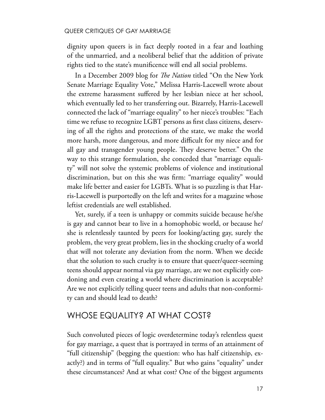dignity upon queers is in fact deeply rooted in a fear and loathing of the unmarried, and a neoliberal belief that the addition of private rights tied to the state's munificence will end all social problems.

In a December 2009 blog for *The Nation* titled "On the New York Senate Marriage Equality Vote," Melissa Harris-Lacewell wrote about the extreme harassment suffered by her lesbian niece at her school, which eventually led to her transferring out. Bizarrely, Harris-Lacewell connected the lack of "marriage equality" to her niece's troubles: "Each time we refuse to recognize LGBT persons as first class citizens, deserving of all the rights and protections of the state, we make the world more harsh, more dangerous, and more difficult for my niece and for all gay and transgender young people. They deserve better." On the way to this strange formulation, she conceded that "marriage equality" will not solve the systemic problems of violence and institutional discrimination, but on this she was firm: "marriage equality" would make life better and easier for LGBTs. What is so puzzling is that Harris-Lacewell is purportedly on the left and writes for a magazine whose leftist credentials are well established.

Yet, surely, if a teen is unhappy or commits suicide because he/she is gay and cannot bear to live in a homophobic world, or because he/ she is relentlessly taunted by peers for looking/acting gay, surely the problem, the very great problem, lies in the shocking cruelty of a world that will not tolerate any deviation from the norm. When we decide that the solution to such cruelty is to ensure that queer/queer-seeming teens should appear normal via gay marriage, are we not explicitly condoning and even creating a world where discrimination is acceptable? Are we not explicitly telling queer teens and adults that non-conformity can and should lead to death?

### WHOSE EQUALITY? AT WHAT COST?

Such convoluted pieces of logic overdetermine today's relentless quest for gay marriage, a quest that is portrayed in terms of an attainment of "full citizenship" (begging the question: who has half citizenship, exactly?) and in terms of "full equality." But who gains "equality" under these circumstances? And at what cost? One of the biggest arguments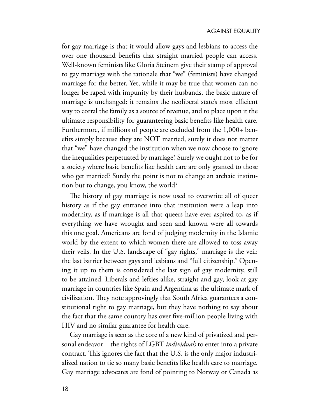for gay marriage is that it would allow gays and lesbians to access the over one thousand benefits that straight married people can access. Well-known feminists like Gloria Steinem give their stamp of approval to gay marriage with the rationale that "we" (feminists) have changed marriage for the better. Yet, while it may be true that women can no longer be raped with impunity by their husbands, the basic nature of marriage is unchanged: it remains the neoliberal state's most efficient way to corral the family as a source of revenue, and to place upon it the ultimate responsibility for guaranteeing basic benefits like health care. Furthermore, if millions of people are excluded from the 1,000+ benefits simply because they are NOT married, surely it does not matter that "we" have changed the institution when we now choose to ignore the inequalities perpetuated by marriage? Surely we ought not to be for a society where basic benefits like health care are only granted to those who get married? Surely the point is not to change an archaic institution but to change, you know, the world?

The history of gay marriage is now used to overwrite all of queer history as if the gay entrance into that institution were a leap into modernity, as if marriage is all that queers have ever aspired to, as if everything we have wrought and seen and known were all towards this one goal. Americans are fond of judging modernity in the Islamic world by the extent to which women there are allowed to toss away their veils. In the U.S. landscape of "gay rights," marriage is the veil: the last barrier between gays and lesbians and "full citizenship." Opening it up to them is considered the last sign of gay modernity, still to be attained. Liberals and lefties alike, straight and gay, look at gay marriage in countries like Spain and Argentina as the ultimate mark of civilization. They note approvingly that South Africa guarantees a constitutional right to gay marriage, but they have nothing to say about the fact that the same country has over five-million people living with HIV and no similar guarantee for health care.

Gay marriage is seen as the core of a new kind of privatized and personal endeavor—the rights of LGBT *individuals* to enter into a private contract. This ignores the fact that the U.S. is the only major industrialized nation to tie so many basic benefits like health care to marriage. Gay marriage advocates are fond of pointing to Norway or Canada as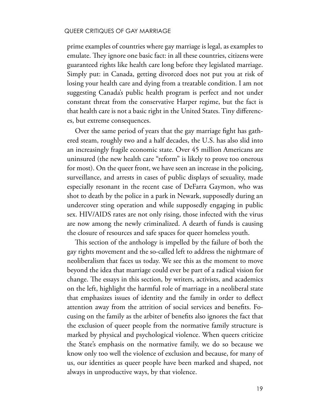#### QUEER CRITIQUES OF GAY MARRIAGE

prime examples of countries where gay marriage is legal, as examples to emulate. They ignore one basic fact: in all these countries, citizens were guaranteed rights like health care long before they legislated marriage. Simply put: in Canada, getting divorced does not put you at risk of losing your health care and dying from a treatable condition. I am not suggesting Canada's public health program is perfect and not under constant threat from the conservative Harper regime, but the fact is that health care is not a basic right in the United States. Tiny differences, but extreme consequences.

Over the same period of years that the gay marriage fight has gathered steam, roughly two and a half decades, the U.S. has also slid into an increasingly fragile economic state. Over 45 million Americans are uninsured (the new health care "reform" is likely to prove too onerous for most). On the queer front, we have seen an increase in the policing, surveillance, and arrests in cases of public displays of sexuality, made especially resonant in the recent case of DeFarra Gaymon, who was shot to death by the police in a park in Newark, supposedly during an undercover sting operation and while supposedly engaging in public sex. HIV/AIDS rates are not only rising, those infected with the virus are now among the newly criminalized. A dearth of funds is causing the closure of resources and safe spaces for queer homeless youth.

This section of the anthology is impelled by the failure of both the gay rights movement and the so-called left to address the nightmare of neoliberalism that faces us today. We see this as the moment to move beyond the idea that marriage could ever be part of a radical vision for change. The essays in this section, by writers, activists, and academics on the left, highlight the harmful role of marriage in a neoliberal state that emphasizes issues of identity and the family in order to deflect attention away from the attrition of social services and benefits. Focusing on the family as the arbiter of benefits also ignores the fact that the exclusion of queer people from the normative family structure is marked by physical and psychological violence. When queers criticize the State's emphasis on the normative family, we do so because we know only too well the violence of exclusion and because, for many of us, our identities as queer people have been marked and shaped, not always in unproductive ways, by that violence.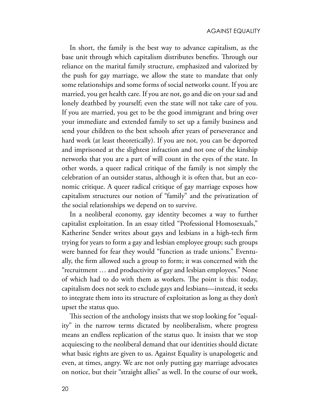In short, the family is the best way to advance capitalism, as the base unit through which capitalism distributes benefits. Through our reliance on the marital family structure, emphasized and valorized by the push for gay marriage, we allow the state to mandate that only some relationships and some forms of social networks count. If you are married, you get health care. If you are not, go and die on your sad and lonely deathbed by yourself; even the state will not take care of you. If you are married, you get to be the good immigrant and bring over your immediate and extended family to set up a family business and send your children to the best schools after years of perseverance and hard work (at least theoretically). If you are not, you can be deported and imprisoned at the slightest infraction and not one of the kinship networks that you are a part of will count in the eyes of the state. In other words, a queer radical critique of the family is not simply the celebration of an outsider status, although it is often that, but an economic critique. A queer radical critique of gay marriage exposes how capitalism structures our notion of "family" and the privatization of the social relationships we depend on to survive.

In a neoliberal economy, gay identity becomes a way to further capitalist exploitation. In an essay titled "Professional Homosexuals," Katherine Sender writes about gays and lesbians in a high-tech firm trying for years to form a gay and lesbian employee group; such groups were banned for fear they would "function as trade unions." Eventually, the firm allowed such a group to form; it was concerned with the "recruitment … and productivity of gay and lesbian employees." None of which had to do with them as workers. The point is this: today, capitalism does not seek to exclude gays and lesbians—instead, it seeks to integrate them into its structure of exploitation as long as they don't upset the status quo.

This section of the anthology insists that we stop looking for "equality" in the narrow terms dictated by neoliberalism, where progress means an endless replication of the status quo. It insists that we stop acquiescing to the neoliberal demand that our identities should dictate what basic rights are given to us. Against Equality is unapologetic and even, at times, angry. We are not only putting gay marriage advocates on notice, but their "straight allies" as well. In the course of our work,